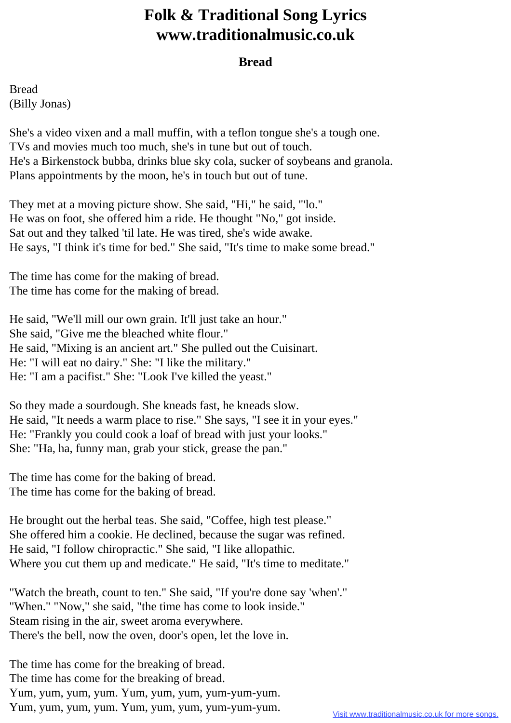## **Folk & Traditional Song Lyrics www.traditionalmusic.co.uk**

## **Bread**

Bread (Billy Jonas)

She's a video vixen and a mall muffin, with a teflon tongue she's a tough one. TVs and movies much too much, she's in tune but out of touch. He's a Birkenstock bubba, drinks blue sky cola, sucker of soybeans and granola. Plans appointments by the moon, he's in touch but out of tune.

They met at a moving picture show. She said, "Hi," he said, "'lo." He was on foot, she offered him a ride. He thought "No," got inside. Sat out and they talked 'til late. He was tired, she's wide awake. He says, "I think it's time for bed." She said, "It's time to make some bread."

The time has come for the making of bread. The time has come for the making of bread.

He said, "We'll mill our own grain. It'll just take an hour." She said, "Give me the bleached white flour." He said, "Mixing is an ancient art." She pulled out the Cuisinart. He: "I will eat no dairy." She: "I like the military." He: "I am a pacifist." She: "Look I've killed the yeast."

So they made a sourdough. She kneads fast, he kneads slow. He said, "It needs a warm place to rise." She says, "I see it in your eyes." He: "Frankly you could cook a loaf of bread with just your looks." She: "Ha, ha, funny man, grab your stick, grease the pan."

The time has come for the baking of bread. The time has come for the baking of bread.

He brought out the herbal teas. She said, "Coffee, high test please." She offered him a cookie. He declined, because the sugar was refined. He said, "I follow chiropractic." She said, "I like allopathic. Where you cut them up and medicate." He said, "It's time to meditate."

"Watch the breath, count to ten." She said, "If you're done say 'when'." "When." "Now," she said, "the time has come to look inside." Steam rising in the air, sweet aroma everywhere. There's the bell, now the oven, door's open, let the love in.

The time has come for the breaking of bread. The time has come for the breaking of bread. Yum, yum, yum, yum. Yum, yum, yum, yum-yum-yum. Yum, yum, yum, yum. Yum, yum, yum, yum-yum-yum.